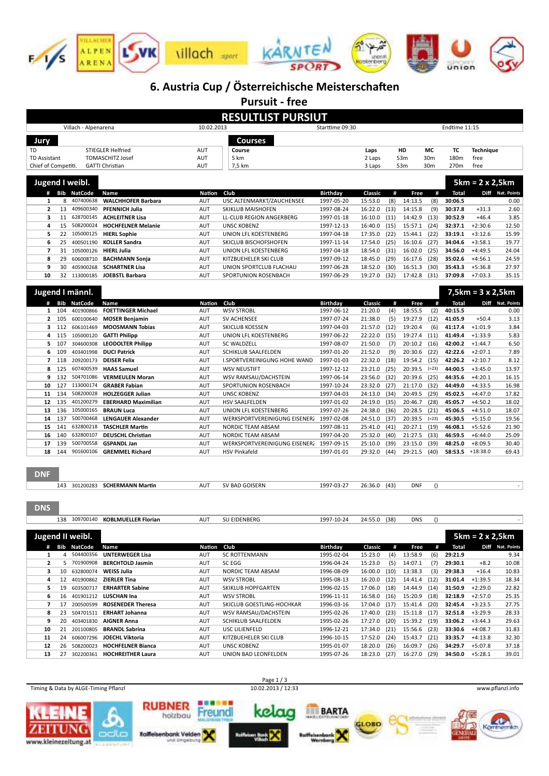

# 6. Austria Cup / Österreichische Meisterschaften

Pursuit - free

|                     |       |                              |                                   |                    | <u> 1 MINUS II C</u>                     |                               |                              |            |                    |                  |                    |                          |                          |
|---------------------|-------|------------------------------|-----------------------------------|--------------------|------------------------------------------|-------------------------------|------------------------------|------------|--------------------|------------------|--------------------|--------------------------|--------------------------|
|                     |       |                              |                                   |                    | <b>RESULTLIST PURSIUT</b>                |                               |                              |            |                    |                  |                    |                          |                          |
|                     |       | Villach - Alpenarena         |                                   | 10.02.2013         |                                          | Starttime 09:30               |                              |            |                    |                  | Endtime 11:15      |                          |                          |
|                     |       |                              |                                   |                    |                                          |                               |                              |            |                    |                  |                    |                          |                          |
| Jury                |       |                              |                                   |                    | <b>Courses</b>                           |                               |                              |            |                    |                  |                    |                          |                          |
| <b>TD</b>           |       |                              | <b>STIEGLER Helfried</b>          | AUT                | Course                                   |                               | Laps                         |            | HD                 | <b>MC</b>        | ТC                 | <b>Technique</b>         |                          |
| <b>TD Assistant</b> |       |                              | <b>TOMASCHITZ Josef</b>           | AUT                | 5 km                                     |                               | 2 Laps                       |            | 53m                | 30m              | 180m               | free                     |                          |
| Chief of Competiti. |       |                              | <b>GATTI Christian</b>            | <b>AUT</b>         | 7,5 km                                   |                               | 3 Laps                       |            | 53m                | 30m              | 270m               | free                     |                          |
|                     |       |                              |                                   |                    |                                          |                               |                              |            |                    |                  |                    |                          |                          |
|                     |       | Jugend I weibl.              |                                   |                    |                                          |                               |                              |            |                    |                  |                    | $5km = 2x 2,5km$         |                          |
|                     | # Bib | <b>NatCode</b>               | Name                              | <b>Nation</b>      | Club                                     | <b>Birthday</b>               | Classic                      | #          | Free               | #                | <b>Total</b>       |                          | Diff Nat. Points         |
| $\mathbf{1}$        | 8     | 407400638                    | <b>WALCHHOFER Barbara</b>         | AUT                | USC ALTENMARKT/ZAUCHENSEE                | 1997-05-20                    | 15:53.0                      | (8)        | 14:13.5            | (8)              | 30:06.5            |                          | 0.00                     |
| $\overline{2}$      | 13    | 409600340                    | <b>PFENNICH Julia</b>             | AUT                | <b>SKIKLUB MAISHOFEN</b>                 | 1997-08-24                    | 16:22.0                      | (13)       | 14:15.8            | (9)              | 30:37.8            | $+31.3$                  | 2.60                     |
| 3                   | 11    | 628700145                    | <b>ACHLEITNER Lisa</b>            | AUT                | <b>LL-CLUB REGION ANGERBERG</b>          | 1997-01-18                    | 16:10.0                      | (11)       | 14:42.9            | (13)             | 30:52.9            | $+46.4$                  | 3.85                     |
| 4                   | 15    | 508200024                    | <b>HOCHFELNER Melanie</b>         | AUT                | <b>UNSC KOBENZ</b>                       | 1997-12-13                    | 16:40.0                      | (15)       | 15:57.1            | (24)             | 32:37.1            | $+2:30.6$                | 12.50                    |
| 5                   | 22    | 105000125                    | <b>HIERL Sophie</b>               | AUT                | UNION LFL KOESTENBERG                    | 1997-04-18                    | 17:35.0                      | (22)       | 15:44.1            | (22)             | 33:19.1            | $+3:12.6$                | 15.99                    |
| 6                   | 25    | 400501190                    | <b>KOLLER Sandra</b>              | AUT                | SKICLUB BISCHOFSHOFEN                    | 1997-11-14                    | 17:54.0                      | (25)       | 16:10.6            | (27)             | 34:04.6            | $+3:58.1$                | 19.77                    |
| $\overline{7}$      | 31    | 105000126                    | <b>HIERL Julia</b>                | AUT                | UNION LFL KOESTENBERG                    | 1997-04-18                    | 18:54.0                      | (31)       | 16:02.0            | (25)             | 34:56.0            | $+4:49.5$                | 24.04                    |
| 8                   | 29    | 606008710                    | <b>BACHMANN Sonja</b>             | AUT                | KITZBUEHELER SKI CLUB                    | 1997-09-12                    | 18:45.0                      | (29)       | 16:17.6            | (28)             | 35:02.6            | $+4:56.1$                | 24.59                    |
| 9                   | 30    | 405900268                    | <b>SCHARTNER Lisa</b>             | AUT                | UNION SPORTCLUB FLACHAU                  | 1997-06-28                    | 18:52.0                      | (30)       | 16:51.3            | (30)             | 35:43.3            | $+5:36.8$                | 27.97                    |
| 10                  |       | 32 113000185                 | <b>JOEBSTL Barbara</b>            | AUT                | SPORTUNION ROSENBACH                     | 1997-06-29                    | 19:27.0                      | (32)       | 17:42.8            | (31)             | 37:09.8            | $+7:03.3$                | 35.15                    |
|                     |       |                              |                                   |                    |                                          |                               |                              |            |                    |                  |                    |                          |                          |
|                     |       | Jugend I männl.              |                                   |                    |                                          |                               |                              |            |                    |                  |                    | $7,5km = 3 \times 2,5km$ |                          |
| #                   | Bib   | <b>NatCode</b>               | Name                              | Nation             | Club                                     | <b>Birthday</b>               | Classic                      | #          | Free               | #                | <b>Total</b>       |                          | Diff Nat. Points         |
| $\mathbf{1}$        | 104   | 401900866                    | <b>FOETTINGER Michael</b>         | AUT                | <b>WSV STROBL</b>                        | 1997-06-12                    | 21:20.0                      | (4)        | 18:55.5            | (2)              | 40:15.5            |                          | 0.00                     |
| 2                   | 105   | 600100640                    | <b>MOSER Benjamin</b>             | AUT                | SV ACHENSEE                              | 1997-07-24                    | 21:38.0                      | (5)        | 19:27.9            | (12)             | 41:05.9            | $+50.4$                  | 3.13                     |
| з                   | 112   | 606101469                    | <b>MOOSMANN Tobias</b>            | AUT                | <b>SKICLUB KOESSEN</b>                   | 1997-04-03                    | 21:57.0                      | (12)       | 19:20.4            | (6)              | 41:17.4            | $+1:01.9$                | 3.84                     |
| 4                   | 115   | 105000120                    | <b>GATTI Philipp</b>              | <b>AUT</b>         | UNION LFL KOESTENBERG                    | 1997-06-22                    | 22:22.0                      | (15)       | 19:27.4            | (11)             | 41:49.4            | $+1:33.9$                | 5.83                     |
| 5                   | 107   | 304600308                    | <b>LEODOLTER Philipp</b>          | <b>AUT</b>         | <b>SC WALDZELL</b>                       | 1997-08-07                    | 21:50.0                      | (7)        | 20:10.2            | (16)             | 42:00.2            | $+1:44.7$                | 6.50                     |
| 6                   | 109   | 403401998                    | <b>DUCI Patrick</b>               | <b>AUT</b>         | <b>SCHIKLUB SAALFELDEN</b>               | 1997-01-20                    | 21:52.0                      | (9)        | 20:30.6            | (22)             | 42:22.6            | $+2:07.1$                | 7.89                     |
| $\overline{7}$      | 118   | 209200173                    | <b>DEISER Felix</b>               | <b>AUT</b>         | I.SPORTVEREINIGUNG HOHE WAND             | 1997-01-03                    | 22:32.0                      | (18)       | 19:54.2            | (15)             | 42:26.2            | $+2:10.7$                | 8.12                     |
| 8                   | 125   | 607400539                    | <b>HAAS Samuel</b>                | <b>AUT</b>         | <b>WSV NEUSTIFT</b>                      | 1997-12-12                    | 23:21.0                      | (25)       | 20:39.5            | $(=23)$          | 44:00.5            | $+3:45.0$                | 13.97                    |
| 9                   | 132   | 504701086                    | <b>VERMEULEN Moran</b>            | <b>AUT</b>         | WSV RAMSAU/DACHSTEIN                     | 1997-06-14                    | 23:56.0                      | (32)       | 20:39.6            | (25)             | 44:35.6            | $+4:20.1$                | 16.15                    |
| 10                  | 127   | 113000174                    | <b>GRABER Fabian</b>              | <b>AUT</b>         | SPORTUNION ROSENBACH                     | 1997-10-24                    | 23:32.0                      | (27)       | 21:17.0            | (32)             | 44:49.0            | $+4:33.5$                | 16.98                    |
| 11                  | 134   | 508200028                    | <b>HOLZEGGER Julian</b>           | <b>AUT</b>         | <b>UNSC KOBENZ</b>                       | 1997-04-03                    | 24:13.0                      | (34)       | 20:49.5            | (29)             | 45:02.5            | $+4:47.0$                | 17.82                    |
| 12                  | 135   | 401200279                    | <b>EBERHARD Maximilian</b>        | <b>AUT</b>         | HSV SAALFELDEN                           | 1997-01-02                    | 24:19.0                      | (35)       | 20:46.7            | (28)             | 45:05.7            | $+4:50.2$                | 18.02                    |
| 13                  | 136   | 105000165                    | <b>BRAUN Luca</b>                 | <b>AUT</b>         | UNION LFL KOESTENBERG                    | 1997-07-26                    | 24:38.0                      | (36)       | 20:28.5            | (21)             | 45:06.5            | $+4:51.0$                | 18.07                    |
| 14                  | 137   | 500700468                    | <b>LENGAUER Alexander</b>         | <b>AUT</b>         | WERKSPORTVEREINIGUNG EISENERZ 1997-02-08 |                               | 24:51.0                      | (37)       | 20:39.5            | $(=23)$          | 45:30.5            | $+5:15.0$                | 19.56                    |
| 15                  | 141   | 632800218                    | <b>TASCHLER Martin</b>            | AUT                | NORDIC TEAM ABSAM                        | 1997-08-11                    | 25:41.0                      | (41)       | 20:27.1            | (19)             | 46:08.1            | $+5:52.6$                | 21.90                    |
| 16                  | 140   | 632800107                    | <b>DEUSCHL Christian</b>          | <b>AUT</b>         | NORDIC TEAM ABSAM                        | 1997-04-20                    | 25:32.0                      | (40)       | 21:27.5            | (33)             | 46:59.5            | $+6:44.0$                | 25.09                    |
| 17                  | 139   | 500700558                    | <b>GSPANDL Jan</b>                | AUT                | WERKSPORTVEREINIGUNG EISENERZ 1997-09-15 |                               | 25:10.0                      | (39)       | 23:15.0            | (39)             | 48:25.0            | $+8:09.5$                | 30.40                    |
| 18                  | 144   | 901600106                    | <b>GREMMEL Richard</b>            | AUT                | <b>HSV Pinkafeld</b>                     | 1997-01-01                    | 29:32.0                      | (44)       | 29:21.5            | (40)             | 58:53.5            | $+18:38.0$               | 69.43                    |
| <b>DNF</b>          |       |                              |                                   |                    |                                          |                               |                              |            |                    |                  |                    |                          |                          |
|                     | 143   |                              | 301200283 SCHERMANN Martin        | AUT                | SV BAD GOISERN                           | 1997-03-27                    | 26:36.0                      | (43)       | <b>DNF</b>         | $\left( \right)$ |                    |                          |                          |
| <b>DNS</b>          |       |                              |                                   |                    |                                          |                               |                              |            |                    |                  |                    |                          |                          |
|                     |       |                              | 138 309700140 KOBLMUELLER Florian | AUT                | SU EIDENBERG                             | 1997-10-24                    | 24:55.0 (38)                 |            | DNS                | $\left( \right)$ |                    |                          |                          |
|                     |       | Jugend II weibl.             |                                   |                    |                                          |                               |                              |            |                    |                  |                    | $5km = 2 \times 2,5km$   |                          |
| 1                   | 4     | # Bib NatCode<br>504400356   | Name<br><b>UNTERWEGER Lisa</b>    | Nation Club<br>AUT | SC ROTTENMANN                            | <b>Birthday</b><br>1995-02-04 | Classic                      | #          | Free<br>13:58.9    | #<br>(6)         | Total<br>29:21.9   |                          | Diff Nat. Points<br>9.34 |
| $\mathbf{2}$        |       | 5 701900908                  | <b>BERCHTOLD Jasmin</b>           | AUT                | SC EGG                                   | 1996-04-24                    | 15:23.0<br>15:23.0           | (4)<br>(5) | 14:07.1            | (7)              | 29:30.1            | $+8.2$                   | 10.08                    |
|                     |       |                              | <b>WEISS Julia</b>                |                    |                                          |                               |                              |            |                    |                  |                    |                          |                          |
| 3<br>4              |       | 10 632800074<br>12 401900862 | <b>ZIERLER Tina</b>               | AUT<br>AUT         | NORDIC TEAM ABSAM<br><b>WSV STROBL</b>   | 1996-08-09<br>1995-08-13      | 16:00.0 (10)<br>16:20.0 (12) |            | 13:38.3<br>14:41.4 | (3)<br>(12)      | 29:38.3<br>31:01.4 | $+16.4$<br>$+1:39.5$     | 10.83<br>18.34           |
| 5                   | 19    | 603500717                    | <b>ERHARTER Sabine</b>            | AUT                | SKIKLUB HOPFGARTEN                       | 1996-02-15                    | 17:06.0 (18)                 |            | 14:44.9            | (14)             | 31:50.9            | $+2:29.0$                | 22.82                    |
| 6                   |       | 16 401901212                 | <b>LUSCHAN Ina</b>                | AUT                | <b>WSV STROBL</b>                        | 1996-11-11                    | 16:58.0 (16)                 |            | 15:20.9            | (18)             | 32:18.9            | $+2:57.0$                | 25.35                    |
| 7                   |       | 17 200500599                 | <b>ROSENEDER Theresa</b>          | AUT                | SKICLUB GOESTLING-HOCHKAR                | 1996-03-16                    | 17:04.0 (17)                 |            | 15:41.4            | (20)             | 32:45.4            | $+3:23.5$                | 27.75                    |
| 8                   |       | 23 504701511                 | <b>ERHART Johanna</b>             | AUT                | WSV RAMSAU/DACHSTEIN                     | 1995-02-26                    | 17:40.0 (23)                 |            | 15:11.8            | (17)             | 32:51.8            | $+3:29.9$                | 28.33                    |
| 9                   |       | 20 403401830                 | <b>AIGNER Anna</b>                | AUT                | SCHIKLUB SAALFELDEN                      | 1995-02-26                    | 17:27.0 (20)                 |            | 15:39.2 (19)       |                  | 33:06.2            | $+3:44.3$                | 29.63                    |
| 10                  |       | 21 201100805                 | <b>BRANDL Sabrina</b>             | AUT                | USC LILIENFELD                           | 1996-12-21                    | 17:34.0 (21)                 |            | 15:56.6 (23)       |                  | 33:30.6            | $+4:08.7$                | 31.83                    |
| 11                  | 24    | 606007296                    | JOECHL Viktoria                   | AUT                | KITZBUEHELER SKI CLUB                    | 1996-10-15                    | 17:52.0 (24)                 |            | 15:43.7 (21)       |                  | 33:35.7            | $+4:13.8$                | 32.30                    |
| 12                  |       | 26 508200023                 | <b>HOCHFELNER Bianca</b>          | AUT                | <b>UNSC KOBENZ</b>                       | 1995-01-07                    | 18:20.0 (26)                 |            | 16:09.7            | (26)             | 34:29.7            | $+5:07.8$                | 37.18                    |
| 13                  |       |                              | 27 302200361 HOCHREITHER Laura    | AUT                | UNION BAD LEONFELDEN                     | 1995-07-26                    | 18:23.0 (27)                 |            | 16:27.0            | (29)             | 34:50.0            | $+5:28.1$                | 39.01                    |
|                     |       |                              |                                   |                    |                                          |                               |                              |            |                    |                  |                    |                          |                          |

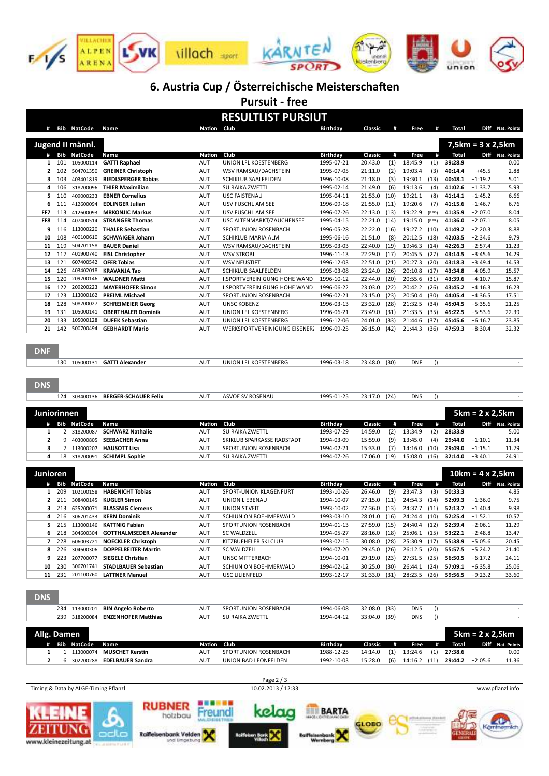

## 6. Austria Cup / Österreichische Meisterschaften

Pursuit - free

### RESULTLIST PURSIUT

|                     |                | # Bib NatCode Name |                                | Nation Club       |                                          | Birthday        | Classic | #           | Free               | #                | Total              |                          | Diff Nat. Points |
|---------------------|----------------|--------------------|--------------------------------|-------------------|------------------------------------------|-----------------|---------|-------------|--------------------|------------------|--------------------|--------------------------|------------------|
|                     |                | Jugend II männl.   |                                |                   |                                          |                 |         |             |                    |                  |                    | $7,5km = 3 \times 2,5km$ |                  |
|                     |                |                    |                                |                   |                                          |                 |         |             |                    |                  |                    |                          |                  |
|                     | # Bib          | <b>NatCode</b>     | Name                           | <b>Nation</b>     | Club                                     | Birthday        | Classic | #           | Free               | #                | <b>Total</b>       |                          | Diff Nat. Points |
| 1                   | 101            | 105000114          | <b>GATTI Raphael</b>           | AUT               | UNION LFL KOESTENBERG                    | 1995-07-21      | 20:43.0 | (1)         | 18:45.9            | (1)              | 39:28.9            |                          | 0.00             |
| $\mathbf{2}$        | 102            | 504701350          | <b>GREINER Christoph</b>       | <b>AUT</b>        | WSV RAMSAU/DACHSTEIN                     | 1995-07-05      | 21:11.0 | (2)         | 19:03.4            | (3)              | 40:14.4            | $+45.5$                  | 2.88             |
| 3                   | 103            | 403401819          | <b>RIEDLSPERGER Tobias</b>     | AUT               | <b>SCHIKLUB SAALFELDEN</b>               | 1996-10-08      | 21:18.0 | (3)         | 19:30.1            | (13)             | 40:48.1            | $+1:19.2$                | 5.01             |
| 4                   | 106            | 318200096          | <b>THIER Maximilian</b>        | AUT               | SU RAIKA ZWETTL                          | 1995-02-14      | 21:49.0 | (6)         | 19:13.6            | (4)              | 41:02.6            | $+1:33.7$                | 5.93             |
| 5                   | 110            | 409000233          | <b>EBNER Cornelius</b>         | <b>AUT</b>        | <b>USC FAISTENAU</b>                     | 1995-04-11      | 21:53.0 | (10)        | 19:21.1            | (8)              | 41:14.1            | $+1:45.2$                | 6.66             |
| 6                   | 111            | 412600094          | <b>EDLINGER Julian</b>         | AUT               | USV FUSCHL AM SEE                        | 1996-09-18      | 21:55.0 | (11)        | 19:20.6            | (7)              | 41:15.6            | $+1:46.7$                | 6.76             |
| FF7                 | 113            | 412600093          | <b>MRKONJIC Markus</b>         | AUT               | USV FUSCHL AM SEE                        | 1996-07-26      | 22:13.0 | (13)        | 19:22.9            | (FF9)            | 41:35.9            | $+2:07.0$                | 8.04             |
| FF8                 | 114            | 407400514          | <b>STRANGER Thomas</b>         | AUT               | USC ALTENMARKT/ZAUCHENSEE                | 1995-04-15      | 22:21.0 | (14)        | 19:15.0            | (FF5)            | 41:36.0            | $+2:07.1$                | 8.05             |
| 9                   | 116            | 113000220          | <b>THALER Sebastian</b>        | AUT               | SPORTUNION ROSENBACH                     | 1996-05-28      | 22:22.0 | (16)        | 19:27.2            | (10)             | 41:49.2            | $+2:20.3$                | 8.88             |
| 10                  | 108            | 400100610          | <b>SCHWAIGER Johann</b>        | <b>AUT</b>        | SCHIKLUB MARIA ALM                       | 1995-06-16      | 21:51.0 | (8)         | 20:12.5            | (18)             | 42:03.5            | $+2:34.6$                | 9.79             |
| 11                  | 119            | 504701158          | <b>BAUER Daniel</b>            | AUT               | WSV RAMSAU/DACHSTEIN                     | 1995-03-03      | 22:40.0 | (19)        | 19:46.3            | (14)             | 42:26.3            | $+2:57.4$                | 11.23            |
| 12                  | 117            | 401900740          | <b>EISL Christopher</b>        | AUT               | <b>WSV STROBL</b>                        | 1996-11-13      | 22:29.0 | (17)        | 20:45.5            | (27)             | 43:14.5            | $+3:45.6$                | 14.29            |
| 13                  | 121            | 607400542          | <b>OFER Tobias</b>             | <b>AUT</b>        | <b>WSV NEUSTIFT</b>                      | 1996-12-03      | 22:51.0 | (21)        | 20:27.3            | (20)             | 43:18.3            | $+3:49.4$                | 14.53            |
| 14                  | 126            | 403402018          | <b>KRAVANJA Tao</b>            | AUT               | <b>SCHIKLUB SAALFELDEN</b>               | 1995-03-08      | 23:24.0 | (26)        | 20:10.8            | (17)             | 43:34.8            | $+4:05.9$                | 15.57            |
| 15                  | 120            | 209200146          | <b>WALDNER Matti</b>           | AUT               | <b>I.SPORTVEREINIGUNG HOHE WAND</b>      | 1996-10-12      | 22:44.0 | (20)        | 20:55.6            | (31)             | 43:39.6            | $+4:10.7$                | 15.87            |
| 16                  | 122            | 209200223          | <b>MAYERHOFER Simon</b>        | AUT               | I.SPORTVEREINIGUNG HOHE WAND             | 1996-06-22      | 23:03.0 | (22)        | 20:42.2            | (26)             | 43:45.2            | $+4:16.3$                | 16.23            |
| 17                  | 123            | 113000162          | <b>PREIML Michael</b>          | AUT               | SPORTUNION ROSENBACH                     | 1996-02-21      | 23:15.0 | (23)        | 20:50.4            | (30)             | 44:05.4            | $+4:36.5$                | 17.51            |
| 18                  | 128            | 508200027          | <b>SCHREIMEIER Georg</b>       | AUT               | <b>UNSC KOBENZ</b>                       | 1996-03-13      | 23:32.0 | (28)        | 21:32.5            | (34)             | 45:04.5            | $+5:35.6$                | 21.25            |
| 19                  | 131            | 105000141          | <b>OBERTHALER Dominik</b>      | AUT               | UNION LFL KOESTENBERG                    | 1996-06-21      | 23:49.0 | (31)        | 21:33.5            | (35)             | 45:22.5            | $+5:53.6$                | 22.39            |
| 20                  | 133            | 105000128          | <b>DUFEK Sebastian</b>         | AUT               | UNION LFL KOESTENBERG                    | 1996-12-06      | 24:01.0 | (33)        | 21:44.6            | (37)             | 45:45.6            | $+6:16.7$                | 23.85            |
| 21                  | 142            | 500700494          | <b>GEBHARDT Mario</b>          | <b>AUT</b>        | WERKSPORTVEREINIGUNG EISENERZ 1996-09-25 |                 | 26:15.0 | (42)        | 21:44.3            | (36)             | 47:59.3            | $+8:30.4$                | 32.32            |
| <b>DNF</b>          |                |                    |                                |                   |                                          |                 |         |             |                    |                  |                    |                          |                  |
|                     | 130            |                    | 105000131 GATTI Alexander      | AUT               | UNION LFL KOESTENBERG                    | 1996-03-18      | 23:48.0 | (30)        | <b>DNF</b>         | $\left( \right)$ |                    |                          | $\sim$           |
| <b>DNS</b>          |                |                    |                                |                   |                                          |                 |         |             |                    |                  |                    |                          |                  |
|                     | 124            |                    | 303400136 BERGER-SCHAUER Felix | AUT               | ASVOE SV ROSENAU                         | 1995-01-25      | 23:17.0 | (24)        | <b>DNS</b>         | $\left( \right)$ |                    |                          | $\omega$         |
| Juniorinnen         |                |                    |                                |                   |                                          |                 |         |             |                    |                  |                    | $5km = 2 \times 2,5km$   |                  |
| #                   |                | <b>Bib NatCode</b> | Name                           | Nation<br>AUT     | Club                                     | <b>Birthday</b> | Classic | #           | Free               | #                | <b>Total</b>       |                          | Diff Nat. Points |
| 1<br>$\overline{2}$ | $\overline{2}$ | 318200087          | <b>SCHWARZ Nathalie</b>        |                   | SU RAIKA ZWETTL                          | 1993-07-29      | 14:59.0 | (2)         | 13:34.9            | (2)              | 28:33.9            |                          | 5.00             |
|                     | 9              | 403000805          | <b>SEEBACHER Anna</b>          | AUT               | SKIKLUB SPARKASSE RADSTADT               | 1994-03-09      | 15:59.0 | (9)         | 13:45.0            | (4)              | 29:44.0            | $+1:10.1$                | 11.34            |
| 3<br>4              | 7<br>18        | 113000207          | <b>HAUSOTT Lisa</b>            | <b>AUT</b><br>AUT | SPORTUNION ROSENBACH                     | 1994-02-21      | 15:33.0 | (7)<br>(19) | 14:16.0<br>15:08.0 | (10)<br>(16)     | 29:49.0<br>32:14.0 | $+1:15.1$<br>$+3:40.1$   | 11.79<br>24.91   |
|                     |                | 318200091          | <b>SCHIMPL Sophie</b>          |                   | SU RAIKA ZWETTL                          | 1994-07-26      | 17:06.0 |             |                    |                  |                    |                          |                  |
| Junioren            |                |                    |                                |                   |                                          |                 |         |             |                    |                  |                    | $10km = 4x2,5km$         |                  |
| #                   | Bib            | <b>NatCode</b>     | Name                           | Nation            | Club                                     | Birthday        | Classic | #           | Free               | #                | <b>Total</b>       |                          | Diff Nat. Points |
| 1                   | 209            | 102100158          | <b>HABENICHT Tobias</b>        | AUT               | SPORT-UNION KLAGENFURT                   | 1993-10-26      | 26:46.0 | (9)         | 23:47.3            | (3)              | 50:33.3            |                          | 4.85             |
| $\mathbf{2}$        | 211            | 308400145          | <b>KUGLER Simon</b>            | AUT               | UNION LIEBENAU                           | 1994-10-07      | 27:15.0 | (11)        | 24:54.3            | (14)             | 52:09.3            | $+1:36.0$                | 9.75             |
| 3                   | 213            | 625200071          | <b>BLASSNIG Clemens</b>        | <b>AUT</b>        | <b>UNION ST.VEIT</b>                     | 1993-10-02      | 27:36.0 | (13)        | 24:37.7            | (11)             | 52:13.7            | $+1:40.4$                | 9.98             |
| 4                   | 216            | 306701433          | <b>KERN Dominik</b>            | AUT               | SCHIUNION BOEHMERWALD                    | 1993-03-10      | 28:01.0 | (16)        | 24:24.4            | (10)             | 52:25.4            | $+1:52.1$                | 10.57            |
| 5                   | 215            | 113000146          | <b>KATTNIG Fabian</b>          | AUT               | SPORTUNION ROSENBACH                     | 1994-01-13      | 27:59.0 | (15)        | 24:40.4            | (12)             | 52:39.4            | $+2:06.1$                | 11.29            |
| 6                   | 218            | 304600304          | <b>GOTTHALMSEDER Alexander</b> | <b>AUT</b>        | <b>SC WALDZELL</b>                       | 1994-05-27      | 28:16.0 | (18)        | 25:06.1            | (15)             | 53:22.1            | $+2:48.8$                | 13.47            |
| 7                   | 228            | 606003721          | <b>NOECKLER Christoph</b>      | <b>AUT</b>        | KITZBUEHELER SKI CLUB                    | 1993-02-15      | 30:08.0 | (28)        | 25:30.9            | (17)             | 55:38.9            | $+5:05.6$                | 20.45            |
| 8                   | 226            | 304600306          | <b>DOPPELREITER Martin</b>     | AUT               | <b>SC WALDZELL</b>                       | 1994-07-20      | 29:45.0 | (26)        | 26:12.5            | (20)             | 55:57.5            | $+5:24.2$                | 21.40            |
| 9                   | 223            | 207700077          | <b>SIEGELE Christian</b>       | AUT               | <b>UNSC MITTERBACH</b>                   | 1994-10-01      | 29:19.0 | (23)        | 27:31.5            | (25)             | 56:50.5            | $+6:17.2$                | 24.11            |
| 10                  | 230            | 306701741          | <b>STADLBAUER Sebastian</b>    | AUT               | SCHIUNION BOEHMERWALD                    | 1994-02-12      | 30:25.0 | (30)        | 26:44.1            | (24)             | 57:09.1            | $+6:35.8$                | 25.06            |
| 11                  | 231            | 201100760          | <b>LATTNER Manuel</b>          | <b>AUT</b>        | USC LILIENFELD                           | 1993-12-17      | 31:33.0 | (31)        | 28:23.5            | (26)             | 59:56.5            | $+9:23.2$                | 33.60            |

DNS

|             |             | 234 113000201 BIN Angelo Roberto | <b>AUT</b>  | SPORTUNION ROSENBACH | 1994-06-08      | 32:08.0 (33) |     | <b>DNS</b> |      |         |                 |                    |
|-------------|-------------|----------------------------------|-------------|----------------------|-----------------|--------------|-----|------------|------|---------|-----------------|--------------------|
| 239         | 318200084   | <b>ENZENHOFER Matthias</b>       | <b>AUT</b>  | SU RAIKA ZWETTL      | 1994-04-12      | 33:04.0 (39) |     | <b>DNS</b> |      |         |                 |                    |
| Allg. Damen |             |                                  |             |                      |                 |              |     |            |      |         | 5km = 2 x 2.5km |                    |
|             | Bib NatCode | Name                             | Nation Club |                      | <b>Birthdav</b> | Classic      | #   | Free       | #    | Total   | Diff            | <b>Nat. Points</b> |
|             | 113000074   | <b>MUSCHET Kerstin</b>           | <b>AUT</b>  | SPORTUNION ROSENBACH | 1988-12-25      | 14:14.0      | (1) | 13:24.6    | (1)  | 27:38.6 |                 | 0.00               |
|             | 302200288   | <b>EDELBAUER Sandra</b>          | <b>AUT</b>  | UNION BAD LEONFELDEN | 1992-10-03      | 15:28.0      | (6) | 14:16.2    | (11) | 29:44.2 | $+2:05.6$       | 11.36              |
|             |             |                                  |             |                      |                 |              |     |            |      |         |                 |                    |

Timing & Data by ALGE-Timing Pflanzl 10.02.2013 / 12:33 www.pflanzl.info

Page  $2/3$ <br>10.02.2013 / 12:33

kelaa